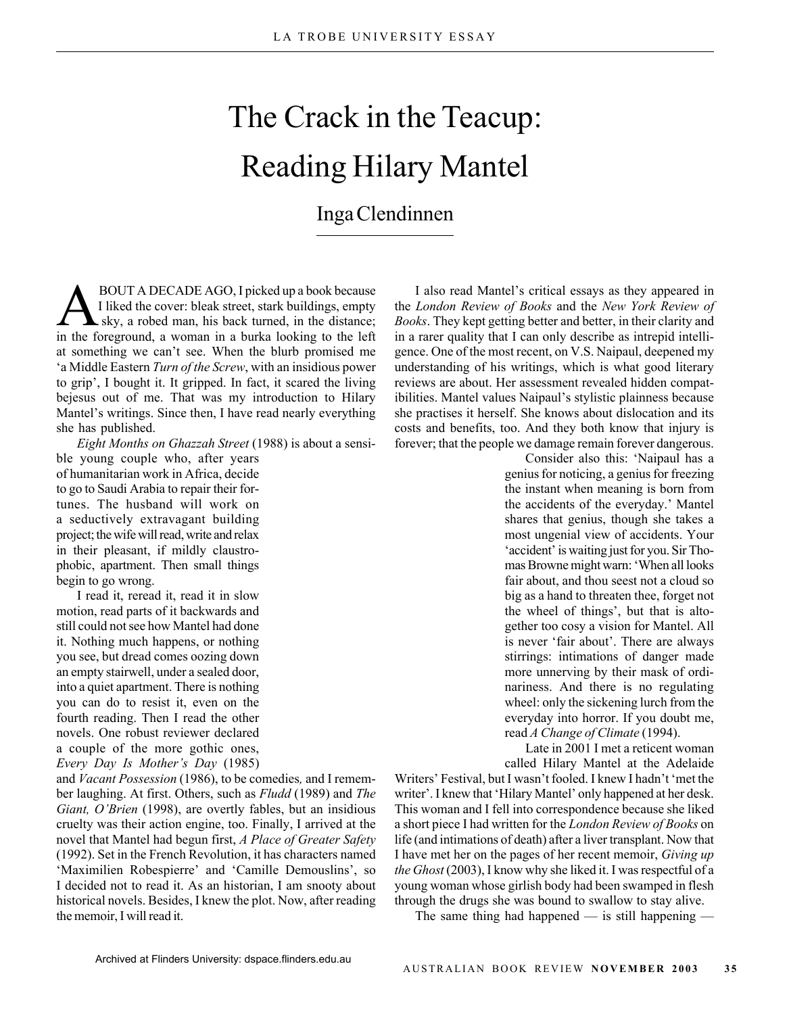## The Crack in the Teacup: Reading Hilary Mantel

## Inga Clendinnen

BOUT A DECADE AGO, I picked up a book because<br>I liked the cover: bleak street, stark buildings, empty<br>sky, a robed man, his back turned, in the distance; I liked the cover: bleak street, stark buildings, empty sky, a robed man, his back turned, in the distance; in the foreground, a woman in a burka looking to the left at something we can't see. When the blurb promised me 'a Middle Eastern *Turn of the Screw*, with an insidious power to grip', I bought it. It gripped. In fact, it scared the living bejesus out of me. That was my introduction to Hilary Mantel's writings. Since then, I have read nearly everything she has published.

*Eight Months on Ghazzah Street* (1988) is about a sensi-

ble young couple who, after years of humanitarian work in Africa, decide to go to Saudi Arabia to repair their fortunes. The husband will work on a seductively extravagant building project; the wife will read, write and relax in their pleasant, if mildly claustrophobic, apartment. Then small things begin to go wrong.

I read it, reread it, read it in slow motion, read parts of it backwards and still could not see how Mantel had done it. Nothing much happens, or nothing you see, but dread comes oozing down an empty stairwell, under a sealed door, into a quiet apartment. There is nothing you can do to resist it, even on the fourth reading. Then I read the other novels. One robust reviewer declared a couple of the more gothic ones, *Every Day Is Mother's Day* (1985)

and *Vacant Possession* (1986), to be comedies*,* and I remember laughing. At first. Others, such as *Fludd* (1989) and *The Giant, O'Brien* (1998), are overtly fables, but an insidious cruelty was their action engine, too. Finally, I arrived at the novel that Mantel had begun first, *A Place of Greater Safety* (1992). Set in the French Revolution, it has characters named 'Maximilien Robespierre' and 'Camille Demouslins', so I decided not to read it. As an historian, I am snooty about historical novels. Besides, I knew the plot. Now, after reading the memoir, I will read it.

I also read Mantel's critical essays as they appeared in the *London Review of Books* and the *New York Review of Books*. They kept getting better and better, in their clarity and in a rarer quality that I can only describe as intrepid intelligence. One of the most recent, on V.S. Naipaul, deepened my understanding of his writings, which is what good literary reviews are about. Her assessment revealed hidden compatibilities. Mantel values Naipaul's stylistic plainness because she practises it herself. She knows about dislocation and its costs and benefits, too. And they both know that injury is forever; that the people we damage remain forever dangerous.

> Consider also this: 'Naipaul has a genius for noticing, a genius for freezing the instant when meaning is born from the accidents of the everyday.' Mantel shares that genius, though she takes a most ungenial view of accidents. Your 'accident' is waiting just for you. Sir Thomas Browne might warn: 'When all looks fair about, and thou seest not a cloud so big as a hand to threaten thee, forget not the wheel of things', but that is altogether too cosy a vision for Mantel. All is never 'fair about'. There are always stirrings: intimations of danger made more unnerving by their mask of ordinariness. And there is no regulating wheel: only the sickening lurch from the everyday into horror. If you doubt me, read *A Change of Climate* (1994).

> Late in 2001 I met a reticent woman called Hilary Mantel at the Adelaide

Writers' Festival, but I wasn't fooled. I knew I hadn't 'met the writer'. I knew that 'Hilary Mantel' only happened at her desk. This woman and I fell into correspondence because she liked a short piece I had written for the *London Review of Books* on life (and intimations of death) after a liver transplant. Now that I have met her on the pages of her recent memoir, *Giving up the Ghost* (2003), I know why she liked it. I was respectful of a young woman whose girlish body had been swamped in flesh through the drugs she was bound to swallow to stay alive.

The same thing had happened  $-$  is still happening  $-$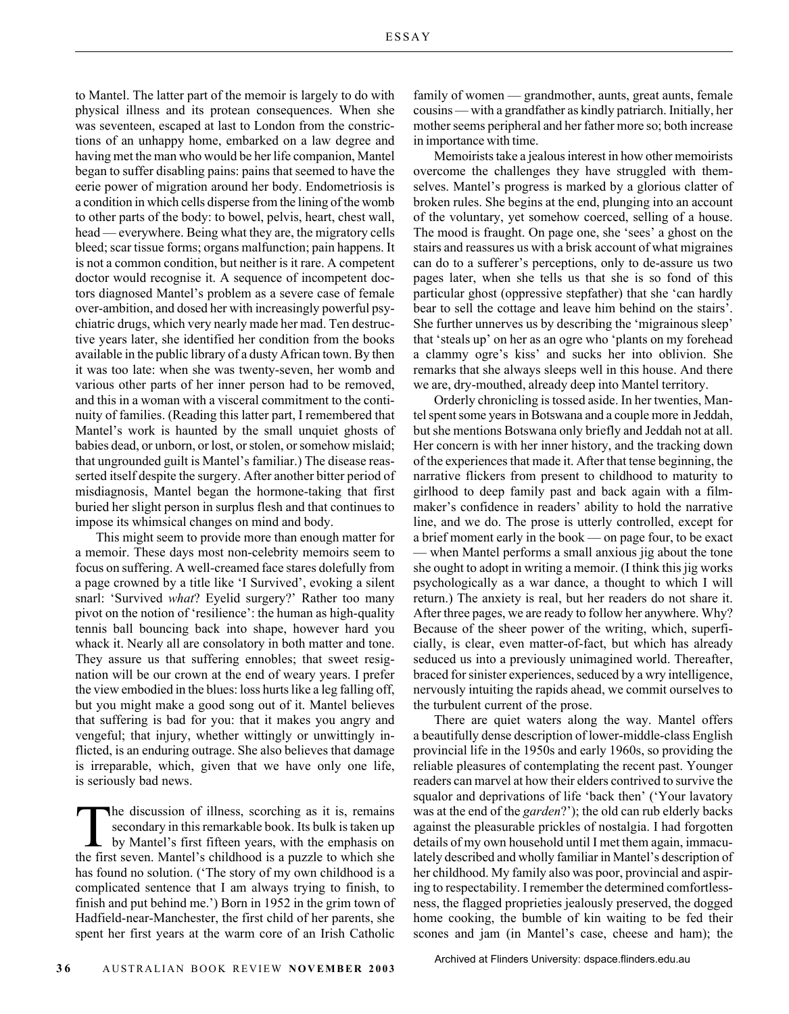to Mantel. The latter part of the memoir is largely to do with physical illness and its protean consequences. When she was seventeen, escaped at last to London from the constrictions of an unhappy home, embarked on a law degree and having met the man who would be her life companion, Mantel began to suffer disabling pains: pains that seemed to have the eerie power of migration around her body. Endometriosis is a condition in which cells disperse from the lining of the womb to other parts of the body: to bowel, pelvis, heart, chest wall, head — everywhere. Being what they are, the migratory cells bleed; scar tissue forms; organs malfunction; pain happens. It is not a common condition, but neither is it rare. A competent doctor would recognise it. A sequence of incompetent doctors diagnosed Mantel's problem as a severe case of female over-ambition, and dosed her with increasingly powerful psychiatric drugs, which very nearly made her mad. Ten destructive years later, she identified her condition from the books available in the public library of a dusty African town. By then it was too late: when she was twenty-seven, her womb and various other parts of her inner person had to be removed, and this in a woman with a visceral commitment to the continuity of families. (Reading this latter part, I remembered that Mantel's work is haunted by the small unquiet ghosts of babies dead, or unborn, or lost, or stolen, or somehow mislaid; that ungrounded guilt is Mantel's familiar.) The disease reasserted itself despite the surgery. After another bitter period of misdiagnosis, Mantel began the hormone-taking that first buried her slight person in surplus flesh and that continues to impose its whimsical changes on mind and body.

This might seem to provide more than enough matter for a memoir. These days most non-celebrity memoirs seem to focus on suffering. A well-creamed face stares dolefully from a page crowned by a title like 'I Survived', evoking a silent snarl: 'Survived *what*? Eyelid surgery?' Rather too many pivot on the notion of 'resilience': the human as high-quality tennis ball bouncing back into shape, however hard you whack it. Nearly all are consolatory in both matter and tone. They assure us that suffering ennobles; that sweet resignation will be our crown at the end of weary years. I prefer the view embodied in the blues: loss hurts like a leg falling off, but you might make a good song out of it. Mantel believes that suffering is bad for you: that it makes you angry and vengeful; that injury, whether wittingly or unwittingly inflicted, is an enduring outrage. She also believes that damage is irreparable, which, given that we have only one life, is seriously bad news.

The discussion of illness, scorching as it is, remains secondary in this remarkable book. Its bulk is taken up by Mantel's first fifteen years, with the emphasis on the first seven. Mantel's childhood is a puzzle to which she has found no solution. ('The story of my own childhood is a complicated sentence that I am always trying to finish, to finish and put behind me.') Born in 1952 in the grim town of Hadfield-near-Manchester, the first child of her parents, she spent her first years at the warm core of an Irish Catholic

family of women — grandmother, aunts, great aunts, female cousins — with a grandfather as kindly patriarch. Initially, her mother seems peripheral and her father more so; both increase in importance with time.

Memoirists take a jealous interest in how other memoirists overcome the challenges they have struggled with themselves. Mantel's progress is marked by a glorious clatter of broken rules. She begins at the end, plunging into an account of the voluntary, yet somehow coerced, selling of a house. The mood is fraught. On page one, she 'sees' a ghost on the stairs and reassures us with a brisk account of what migraines can do to a sufferer's perceptions, only to de-assure us two pages later, when she tells us that she is so fond of this particular ghost (oppressive stepfather) that she 'can hardly bear to sell the cottage and leave him behind on the stairs'. She further unnerves us by describing the 'migrainous sleep' that 'steals up' on her as an ogre who 'plants on my forehead a clammy ogre's kiss' and sucks her into oblivion. She remarks that she always sleeps well in this house. And there we are, dry-mouthed, already deep into Mantel territory.

Orderly chronicling is tossed aside. In her twenties, Mantel spent some years in Botswana and a couple more in Jeddah, but she mentions Botswana only briefly and Jeddah not at all. Her concern is with her inner history, and the tracking down of the experiences that made it. After that tense beginning, the narrative flickers from present to childhood to maturity to girlhood to deep family past and back again with a filmmaker's confidence in readers' ability to hold the narrative line, and we do. The prose is utterly controlled, except for a brief moment early in the book — on page four, to be exact — when Mantel performs a small anxious jig about the tone she ought to adopt in writing a memoir. (I think this jig works psychologically as a war dance, a thought to which I will return.) The anxiety is real, but her readers do not share it. After three pages, we are ready to follow her anywhere. Why? Because of the sheer power of the writing, which, superficially, is clear, even matter-of-fact, but which has already seduced us into a previously unimagined world. Thereafter, braced for sinister experiences, seduced by a wry intelligence, nervously intuiting the rapids ahead, we commit ourselves to the turbulent current of the prose.

There are quiet waters along the way. Mantel offers a beautifully dense description of lower-middle-class English provincial life in the 1950s and early 1960s, so providing the reliable pleasures of contemplating the recent past. Younger readers can marvel at how their elders contrived to survive the squalor and deprivations of life 'back then' ('Your lavatory was at the end of the *garden*?'); the old can rub elderly backs against the pleasurable prickles of nostalgia. I had forgotten details of my own household until I met them again, immaculately described and wholly familiar in Mantel's description of her childhood. My family also was poor, provincial and aspiring to respectability. I remember the determined comfortlessness, the flagged proprieties jealously preserved, the dogged home cooking, the bumble of kin waiting to be fed their scones and jam (in Mantel's case, cheese and ham); the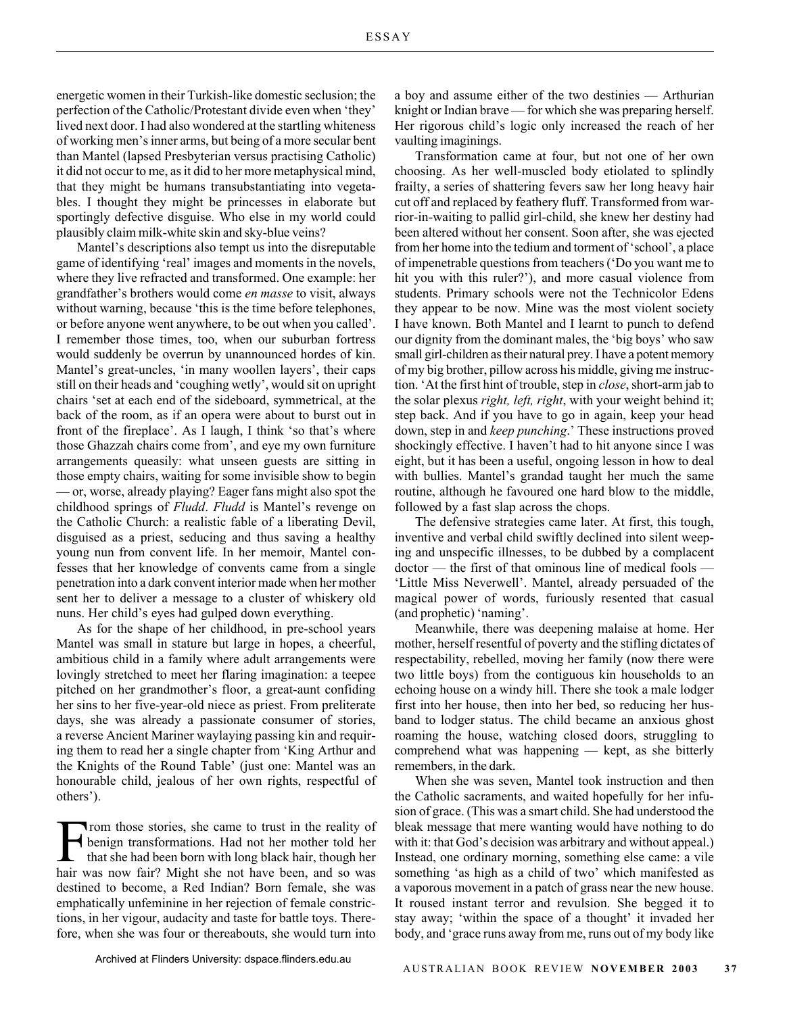energetic women in their Turkish-like domestic seclusion; the perfection of the Catholic/Protestant divide even when 'they' lived next door. I had also wondered at the startling whiteness of working men's inner arms, but being of a more secular bent than Mantel (lapsed Presbyterian versus practising Catholic) it did not occur to me, as it did to her more metaphysical mind, that they might be humans transubstantiating into vegetables. I thought they might be princesses in elaborate but sportingly defective disguise. Who else in my world could plausibly claim milk-white skin and sky-blue veins?

Mantel's descriptions also tempt us into the disreputable game of identifying 'real' images and moments in the novels, where they live refracted and transformed. One example: her grandfather's brothers would come *en masse* to visit, always without warning, because 'this is the time before telephones, or before anyone went anywhere, to be out when you called'. I remember those times, too, when our suburban fortress would suddenly be overrun by unannounced hordes of kin. Mantel's great-uncles, 'in many woollen layers', their caps still on their heads and 'coughing wetly', would sit on upright chairs 'set at each end of the sideboard, symmetrical, at the back of the room, as if an opera were about to burst out in front of the fireplace'. As I laugh, I think 'so that's where those Ghazzah chairs come from', and eye my own furniture arrangements queasily: what unseen guests are sitting in those empty chairs, waiting for some invisible show to begin — or, worse, already playing? Eager fans might also spot the childhood springs of *Fludd*. *Fludd* is Mantel's revenge on the Catholic Church: a realistic fable of a liberating Devil, disguised as a priest, seducing and thus saving a healthy young nun from convent life. In her memoir, Mantel confesses that her knowledge of convents came from a single penetration into a dark convent interior made when her mother sent her to deliver a message to a cluster of whiskery old nuns. Her child's eyes had gulped down everything.

As for the shape of her childhood, in pre-school years Mantel was small in stature but large in hopes, a cheerful, ambitious child in a family where adult arrangements were lovingly stretched to meet her flaring imagination: a teepee pitched on her grandmother's floor, a great-aunt confiding her sins to her five-year-old niece as priest. From preliterate days, she was already a passionate consumer of stories, a reverse Ancient Mariner waylaying passing kin and requiring them to read her a single chapter from 'King Arthur and the Knights of the Round Table' (just one: Mantel was an honourable child, jealous of her own rights, respectful of others').

From those stories, she came to trust in the reality of<br>the benign transformations. Had not her mother told her<br>that she had been born with long black hair, though her benign transformations. Had not her mother told her that she had been born with long black hair, though her hair was now fair? Might she not have been, and so was destined to become, a Red Indian? Born female, she was emphatically unfeminine in her rejection of female constrictions, in her vigour, audacity and taste for battle toys. Therefore, when she was four or thereabouts, she would turn into a boy and assume either of the two destinies — Arthurian knight or Indian brave — for which she was preparing herself. Her rigorous child's logic only increased the reach of her vaulting imaginings.

Transformation came at four, but not one of her own choosing. As her well-muscled body etiolated to splindly frailty, a series of shattering fevers saw her long heavy hair cut off and replaced by feathery fluff. Transformed from warrior-in-waiting to pallid girl-child, she knew her destiny had been altered without her consent. Soon after, she was ejected from her home into the tedium and torment of 'school', a place of impenetrable questions from teachers ('Do you want me to hit you with this ruler?'), and more casual violence from students. Primary schools were not the Technicolor Edens they appear to be now. Mine was the most violent society I have known. Both Mantel and I learnt to punch to defend our dignity from the dominant males, the 'big boys' who saw small girl-children as their natural prey. I have a potent memory of my big brother, pillow across his middle, giving me instruction. 'At the first hint of trouble, step in *close*, short-arm jab to the solar plexus *right, left, right*, with your weight behind it; step back. And if you have to go in again, keep your head down, step in and *keep punching*.' These instructions proved shockingly effective. I haven't had to hit anyone since I was eight, but it has been a useful, ongoing lesson in how to deal with bullies. Mantel's grandad taught her much the same routine, although he favoured one hard blow to the middle, followed by a fast slap across the chops.

The defensive strategies came later. At first, this tough, inventive and verbal child swiftly declined into silent weeping and unspecific illnesses, to be dubbed by a complacent doctor — the first of that ominous line of medical fools — 'Little Miss Neverwell'. Mantel, already persuaded of the magical power of words, furiously resented that casual (and prophetic) 'naming'.

Meanwhile, there was deepening malaise at home. Her mother, herself resentful of poverty and the stifling dictates of respectability, rebelled, moving her family (now there were two little boys) from the contiguous kin households to an echoing house on a windy hill. There she took a male lodger first into her house, then into her bed, so reducing her husband to lodger status. The child became an anxious ghost roaming the house, watching closed doors, struggling to comprehend what was happening — kept, as she bitterly remembers, in the dark.

When she was seven, Mantel took instruction and then the Catholic sacraments, and waited hopefully for her infusion of grace. (This was a smart child. She had understood the bleak message that mere wanting would have nothing to do with it: that God's decision was arbitrary and without appeal.) Instead, one ordinary morning, something else came: a vile something 'as high as a child of two' which manifested as a vaporous movement in a patch of grass near the new house. It roused instant terror and revulsion. She begged it to stay away; 'within the space of a thought' it invaded her body, and 'grace runs away from me, runs out of my body like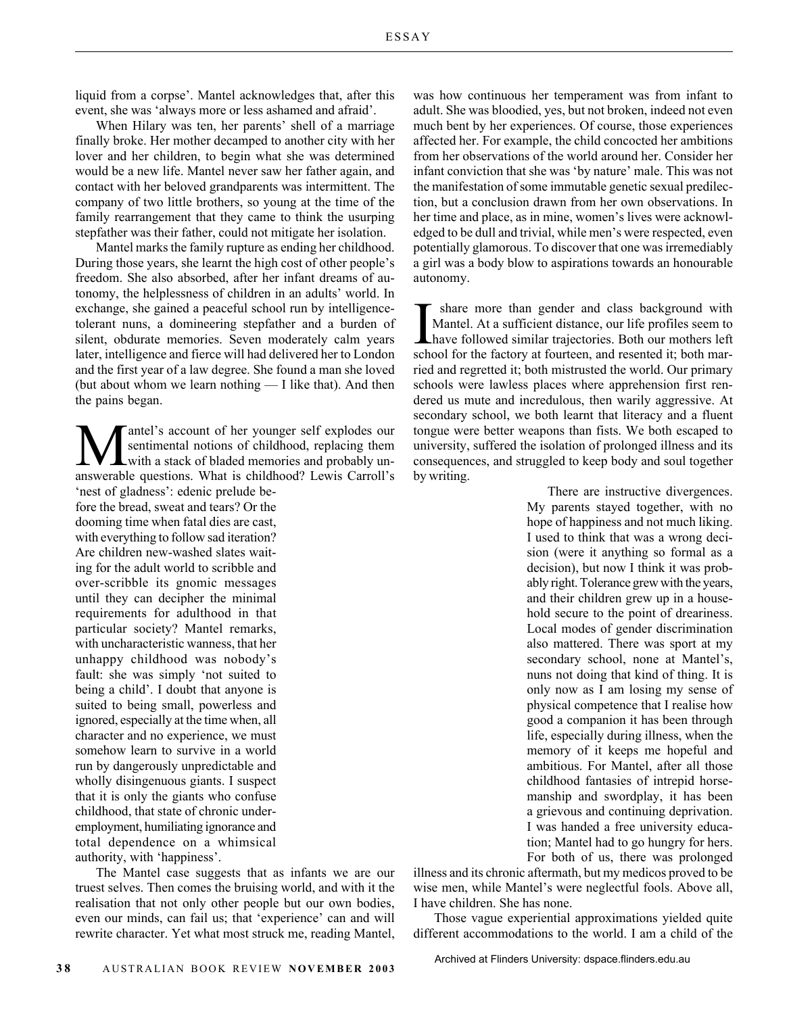liquid from a corpse'. Mantel acknowledges that, after this event, she was 'always more or less ashamed and afraid'.

When Hilary was ten, her parents' shell of a marriage finally broke. Her mother decamped to another city with her lover and her children, to begin what she was determined would be a new life. Mantel never saw her father again, and contact with her beloved grandparents was intermittent. The company of two little brothers, so young at the time of the family rearrangement that they came to think the usurping stepfather was their father, could not mitigate her isolation.

Mantel marks the family rupture as ending her childhood. During those years, she learnt the high cost of other people's freedom. She also absorbed, after her infant dreams of autonomy, the helplessness of children in an adults' world. In exchange, she gained a peaceful school run by intelligencetolerant nuns, a domineering stepfather and a burden of silent, obdurate memories. Seven moderately calm years later, intelligence and fierce will had delivered her to London and the first year of a law degree. She found a man she loved (but about whom we learn nothing — I like that). And then the pains began.

antel's account of her younger self explodes our sentimental notions of childhood, replacing them with a stack of bladed memories and probably unanswerable questions. What is childhood? Lewis Carroll's 'nest of gladness': edenic prelude be-

fore the bread, sweat and tears? Or the dooming time when fatal dies are cast, with everything to follow sad iteration? Are children new-washed slates waiting for the adult world to scribble and over-scribble its gnomic messages until they can decipher the minimal requirements for adulthood in that particular society? Mantel remarks, with uncharacteristic wanness, that her unhappy childhood was nobody's fault: she was simply 'not suited to being a child'. I doubt that anyone is suited to being small, powerless and ignored, especially at the time when, all character and no experience, we must somehow learn to survive in a world run by dangerously unpredictable and wholly disingenuous giants. I suspect that it is only the giants who confuse childhood, that state of chronic underemployment, humiliating ignorance and total dependence on a whimsical authority, with 'happiness'.

The Mantel case suggests that as infants we are our truest selves. Then comes the bruising world, and with it the realisation that not only other people but our own bodies, even our minds, can fail us; that 'experience' can and will rewrite character. Yet what most struck me, reading Mantel, was how continuous her temperament was from infant to adult. She was bloodied, yes, but not broken, indeed not even much bent by her experiences. Of course, those experiences affected her. For example, the child concocted her ambitions from her observations of the world around her. Consider her infant conviction that she was 'by nature' male. This was not the manifestation of some immutable genetic sexual predilection, but a conclusion drawn from her own observations. In her time and place, as in mine, women's lives were acknowledged to be dull and trivial, while men's were respected, even potentially glamorous. To discover that one was irremediably a girl was a body blow to aspirations towards an honourable autonomy.

I share more than gender and class background with Mantel. At a sufficient distance, our life profiles seem to have followed similar trajectories. Both our mothers left school for the factory at fourteen, and resented it; share more than gender and class background with Mantel. At a sufficient distance, our life profiles seem to have followed similar trajectories. Both our mothers left ried and regretted it; both mistrusted the world. Our primary schools were lawless places where apprehension first rendered us mute and incredulous, then warily aggressive. At secondary school, we both learnt that literacy and a fluent tongue were better weapons than fists. We both escaped to university, suffered the isolation of prolonged illness and its consequences, and struggled to keep body and soul together by writing.

> There are instructive divergences. My parents stayed together, with no hope of happiness and not much liking. I used to think that was a wrong decision (were it anything so formal as a decision), but now I think it was probably right. Tolerance grew with the years, and their children grew up in a household secure to the point of dreariness. Local modes of gender discrimination also mattered. There was sport at my secondary school, none at Mantel's, nuns not doing that kind of thing. It is only now as I am losing my sense of physical competence that I realise how good a companion it has been through life, especially during illness, when the memory of it keeps me hopeful and ambitious. For Mantel, after all those childhood fantasies of intrepid horsemanship and swordplay, it has been a grievous and continuing deprivation. I was handed a free university education; Mantel had to go hungry for hers. For both of us, there was prolonged

illness and its chronic aftermath, but my medicos proved to be wise men, while Mantel's were neglectful fools. Above all, I have children. She has none.

Those vague experiential approximations yielded quite different accommodations to the world. I am a child of the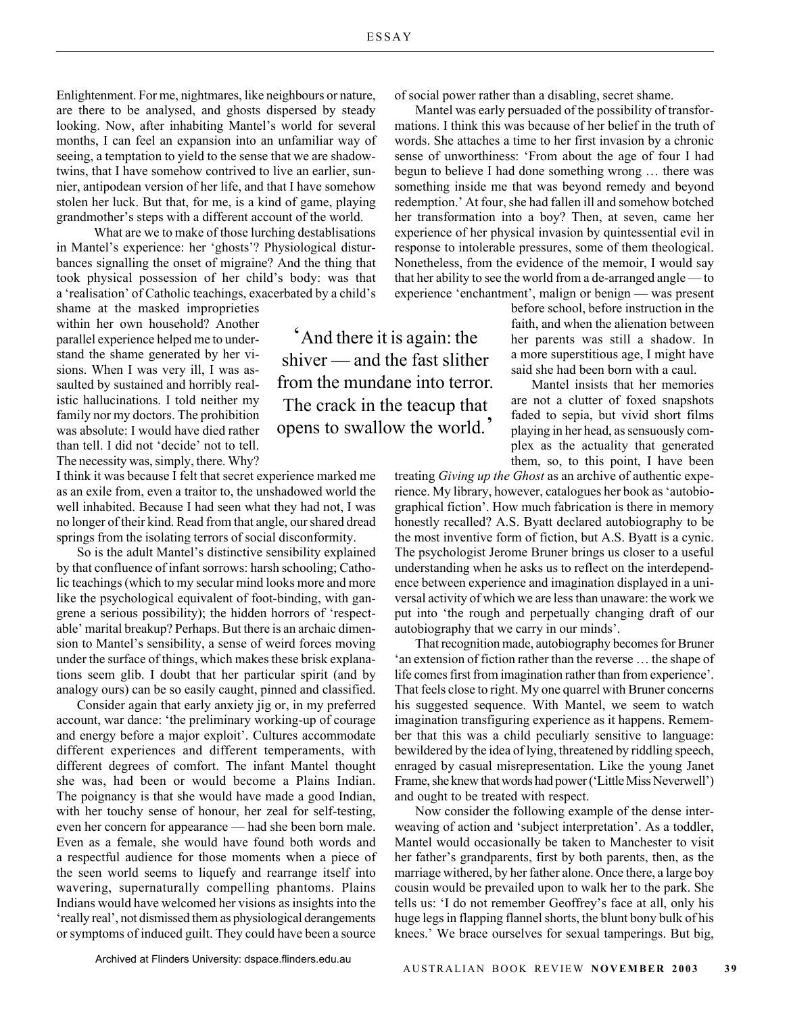Enlightenment. For me, nightmares, like neighbours or nature, are there to be analysed, and ghosts dispersed by steady looking. Now, after inhabiting Mantel's world for several months, I can feel an expansion into an unfamiliar way of seeing, a temptation to yield to the sense that we are shadowtwins, that I have somehow contrived to live an earlier, sunnier, antipodean version of her life, and that I have somehow stolen her luck. But that, for me, is a kind of game, playing grandmother's steps with a different account of the world.

What are we to make of those lurching destablisations in Mantel's experience: her 'ghosts'? Physiological disturbances signalling the onset of migraine? And the thing that took physical possession of her child's body: was that a 'realisation' of Catholic teachings, exacerbated by a child's

shame at the masked improprieties within her own household? Another parallel experience helped me to understand the shame generated by her visions. When I was very ill, I was assaulted by sustained and horribly realistic hallucinations. I told neither my family nor my doctors. The prohibition was absolute: I would have died rather than tell. I did not 'decide' not to tell. The necessity was, simply, there. Why?

I think it was because I felt that secret experience marked me as an exile from, even a traitor to, the unshadowed world the well inhabited. Because I had seen what they had not, I was no longer of their kind. Read from that angle, our shared dread springs from the isolating terrors of social disconformity.

So is the adult Mantel's distinctive sensibility explained by that confluence of infant sorrows: harsh schooling; Catholic teachings (which to my secular mind looks more and more like the psychological equivalent of foot-binding, with gangrene a serious possibility); the hidden horrors of 'respectable' marital breakup? Perhaps. But there is an archaic dimension to Mantel's sensibility, a sense of weird forces moving under the surface of things, which makes these brisk explanations seem glib. I doubt that her particular spirit (and by analogy ours) can be so easily caught, pinned and classified.

Consider again that early anxiety jig or, in my preferred account, war dance: 'the preliminary working-up of courage and energy before a major exploit'. Cultures accommodate different experiences and different temperaments, with different degrees of comfort. The infant Mantel thought she was, had been or would become a Plains Indian. The poignancy is that she would have made a good Indian, with her touchy sense of honour, her zeal for self-testing, even her concern for appearance — had she been born male. Even as a female, she would have found both words and a respectful audience for those moments when a piece of the seen world seems to liquefy and rearrange itself into wavering, supernaturally compelling phantoms. Plains Indians would have welcomed her visions as insights into the 'really real', not dismissed them as physiological derangements or symptoms of induced guilt. They could have been a source

'And there it is again: the shiver — and the fast slither from the mundane into terror. The crack in the teacup that opens to swallow the world.'

of social power rather than a disabling, secret shame.

Mantel was early persuaded of the possibility of transformations. I think this was because of her belief in the truth of words. She attaches a time to her first invasion by a chronic sense of unworthiness: 'From about the age of four I had begun to believe I had done something wrong … there was something inside me that was beyond remedy and beyond redemption.' At four, she had fallen ill and somehow botched her transformation into a boy? Then, at seven, came her experience of her physical invasion by quintessential evil in response to intolerable pressures, some of them theological. Nonetheless, from the evidence of the memoir, I would say that her ability to see the world from a de-arranged angle — to experience 'enchantment', malign or benign — was present

> before school, before instruction in the faith, and when the alienation between her parents was still a shadow. In a more superstitious age, I might have said she had been born with a caul.

> Mantel insists that her memories are not a clutter of foxed snapshots faded to sepia, but vivid short films playing in her head, as sensuously complex as the actuality that generated them, so, to this point, I have been

treating *Giving up the Ghost* as an archive of authentic experience. My library, however, catalogues her book as 'autobiographical fiction'. How much fabrication is there in memory honestly recalled? A.S. Byatt declared autobiography to be the most inventive form of fiction, but A.S. Byatt is a cynic. The psychologist Jerome Bruner brings us closer to a useful understanding when he asks us to reflect on the interdependence between experience and imagination displayed in a universal activity of which we are less than unaware: the work we put into 'the rough and perpetually changing draft of our autobiography that we carry in our minds'.

That recognition made, autobiography becomes for Bruner 'an extension of fiction rather than the reverse … the shape of life comes first from imagination rather than from experience'. That feels close to right. My one quarrel with Bruner concerns his suggested sequence. With Mantel, we seem to watch imagination transfiguring experience as it happens. Remember that this was a child peculiarly sensitive to language: bewildered by the idea of lying, threatened by riddling speech, enraged by casual misrepresentation. Like the young Janet Frame, she knew that words had power ('Little Miss Neverwell') and ought to be treated with respect.

Now consider the following example of the dense interweaving of action and 'subject interpretation'. As a toddler, Mantel would occasionally be taken to Manchester to visit her father's grandparents, first by both parents, then, as the marriage withered, by her father alone. Once there, a large boy cousin would be prevailed upon to walk her to the park. She tells us: 'I do not remember Geoffrey's face at all, only his huge legs in flapping flannel shorts, the blunt bony bulk of his knees.' We brace ourselves for sexual tamperings. But big,